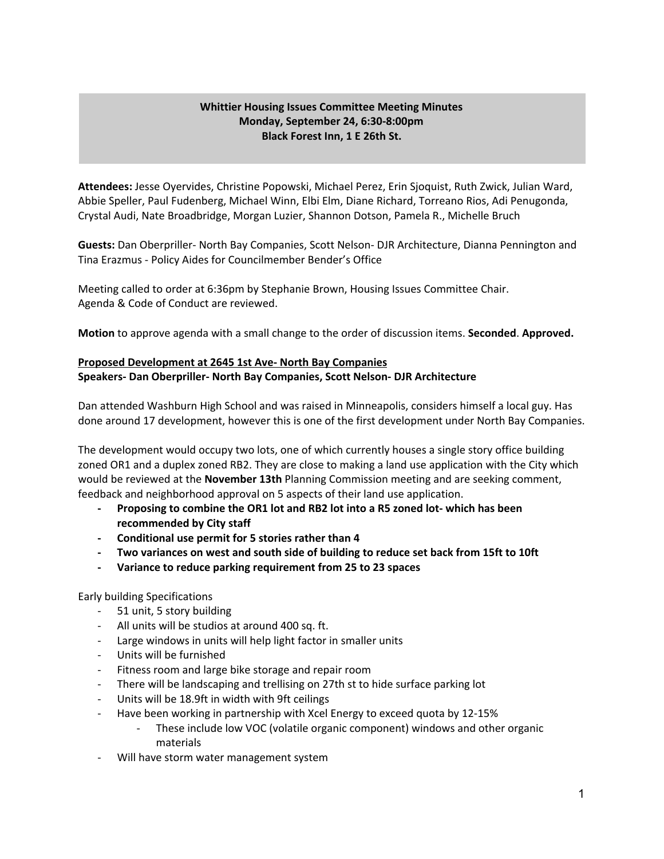### **Whittier Housing Issues Committee Meeting Minutes Monday, September 24, 6:30-8:00pm Black Forest Inn, 1 E 26th St.**

**Attendees:** Jesse Oyervides, Christine Popowski, Michael Perez, Erin Sjoquist, Ruth Zwick, Julian Ward, Abbie Speller, Paul Fudenberg, Michael Winn, Elbi Elm, Diane Richard, Torreano Rios, Adi Penugonda, Crystal Audi, Nate Broadbridge, Morgan Luzier, Shannon Dotson, Pamela R., Michelle Bruch

**Guests:** Dan Oberpriller- North Bay Companies, Scott Nelson- DJR Architecture, Dianna Pennington and Tina Erazmus - Policy Aides for Councilmember Bender's Office

Meeting called to order at 6:36pm by Stephanie Brown, Housing Issues Committee Chair. Agenda & Code of Conduct are reviewed.

**Motion** to approve agenda with a small change to the order of discussion items. **Seconded**. **Approved.**

# **Proposed Development at 2645 1st Ave- North Bay Companies Speakers- Dan Oberpriller- North Bay Companies, Scott Nelson- DJR Architecture**

Dan attended Washburn High School and was raised in Minneapolis, considers himself a local guy. Has done around 17 development, however this is one of the first development under North Bay Companies.

The development would occupy two lots, one of which currently houses a single story office building zoned OR1 and a duplex zoned RB2. They are close to making a land use application with the City which would be reviewed at the **November 13th** Planning Commission meeting and are seeking comment, feedback and neighborhood approval on 5 aspects of their land use application.

- **- Proposing to combine the OR1 lot and RB2 lot into a R5 zoned lot- which has been recommended by City staff**
- **- Conditional use permit for 5 stories rather than 4**
- **- Two variances on west and south side of building to reduce set back from 15ft to 10ft**
- **- Variance to reduce parking requirement from 25 to 23 spaces**

Early building Specifications

- 51 unit, 5 story building
- All units will be studios at around 400 sq. ft.
- Large windows in units will help light factor in smaller units
- Units will be furnished
- Fitness room and large bike storage and repair room
- There will be landscaping and trellising on 27th st to hide surface parking lot
- Units will be 18.9ft in width with 9ft ceilings
- Have been working in partnership with Xcel Energy to exceed quota by 12-15%
	- These include low VOC (volatile organic component) windows and other organic materials
- Will have storm water management system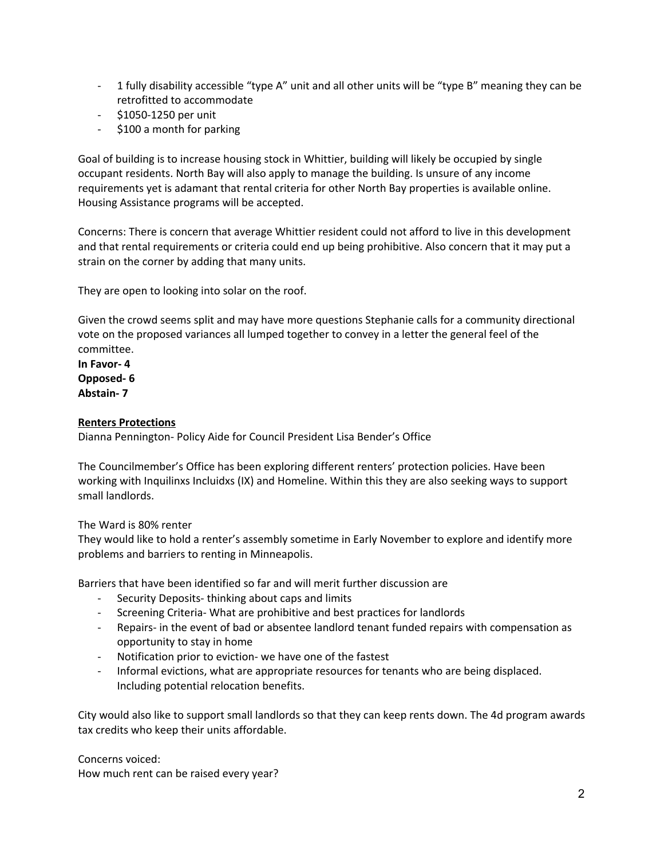- 1 fully disability accessible "type A" unit and all other units will be "type B" meaning they can be retrofitted to accommodate
- \$1050-1250 per unit
- \$100 a month for parking

Goal of building is to increase housing stock in Whittier, building will likely be occupied by single occupant residents. North Bay will also apply to manage the building. Is unsure of any income requirements yet is adamant that rental criteria for other North Bay properties is available online. Housing Assistance programs will be accepted.

Concerns: There is concern that average Whittier resident could not afford to live in this development and that rental requirements or criteria could end up being prohibitive. Also concern that it may put a strain on the corner by adding that many units.

They are open to looking into solar on the roof.

Given the crowd seems split and may have more questions Stephanie calls for a community directional vote on the proposed variances all lumped together to convey in a letter the general feel of the committee.

**In Favor- 4 Opposed- 6 Abstain- 7**

### **Renters Protections**

Dianna Pennington- Policy Aide for Council President Lisa Bender's Office

The Councilmember's Office has been exploring different renters' protection policies. Have been working with Inquilinxs Incluidxs (IX) and Homeline. Within this they are also seeking ways to support small landlords.

#### The Ward is 80% renter

They would like to hold a renter's assembly sometime in Early November to explore and identify more problems and barriers to renting in Minneapolis.

Barriers that have been identified so far and will merit further discussion are

- Security Deposits- thinking about caps and limits
- Screening Criteria- What are prohibitive and best practices for landlords
- Repairs- in the event of bad or absentee landlord tenant funded repairs with compensation as opportunity to stay in home
- Notification prior to eviction- we have one of the fastest
- Informal evictions, what are appropriate resources for tenants who are being displaced. Including potential relocation benefits.

City would also like to support small landlords so that they can keep rents down. The 4d program awards tax credits who keep their units affordable.

Concerns voiced: How much rent can be raised every year?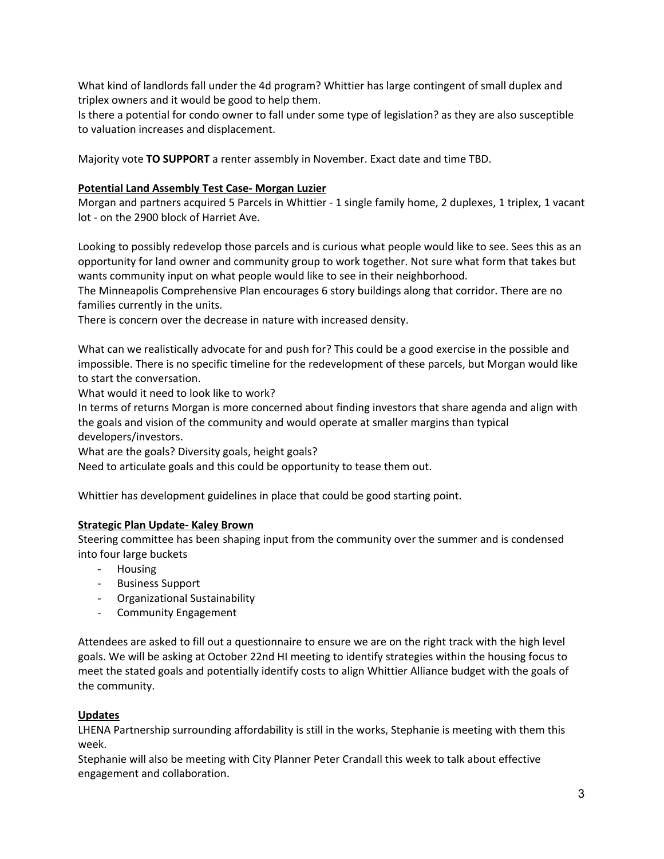What kind of landlords fall under the 4d program? Whittier has large contingent of small duplex and triplex owners and it would be good to help them.

Is there a potential for condo owner to fall under some type of legislation? as they are also susceptible to valuation increases and displacement.

Majority vote **TO SUPPORT** a renter assembly in November. Exact date and time TBD.

### **Potential Land Assembly Test Case- Morgan Luzier**

Morgan and partners acquired 5 Parcels in Whittier - 1 single family home, 2 duplexes, 1 triplex, 1 vacant lot - on the 2900 block of Harriet Ave.

Looking to possibly redevelop those parcels and is curious what people would like to see. Sees this as an opportunity for land owner and community group to work together. Not sure what form that takes but wants community input on what people would like to see in their neighborhood.

The Minneapolis Comprehensive Plan encourages 6 story buildings along that corridor. There are no families currently in the units.

There is concern over the decrease in nature with increased density.

What can we realistically advocate for and push for? This could be a good exercise in the possible and impossible. There is no specific timeline for the redevelopment of these parcels, but Morgan would like to start the conversation.

What would it need to look like to work?

In terms of returns Morgan is more concerned about finding investors that share agenda and align with the goals and vision of the community and would operate at smaller margins than typical developers/investors.

What are the goals? Diversity goals, height goals?

Need to articulate goals and this could be opportunity to tease them out.

Whittier has development guidelines in place that could be good starting point.

#### **Strategic Plan Update- Kaley Brown**

Steering committee has been shaping input from the community over the summer and is condensed into four large buckets

- Housing
- Business Support
- Organizational Sustainability
- Community Engagement

Attendees are asked to fill out a questionnaire to ensure we are on the right track with the high level goals. We will be asking at October 22nd HI meeting to identify strategies within the housing focus to meet the stated goals and potentially identify costs to align Whittier Alliance budget with the goals of the community.

# **Updates**

LHENA Partnership surrounding affordability is still in the works, Stephanie is meeting with them this week.

Stephanie will also be meeting with City Planner Peter Crandall this week to talk about effective engagement and collaboration.